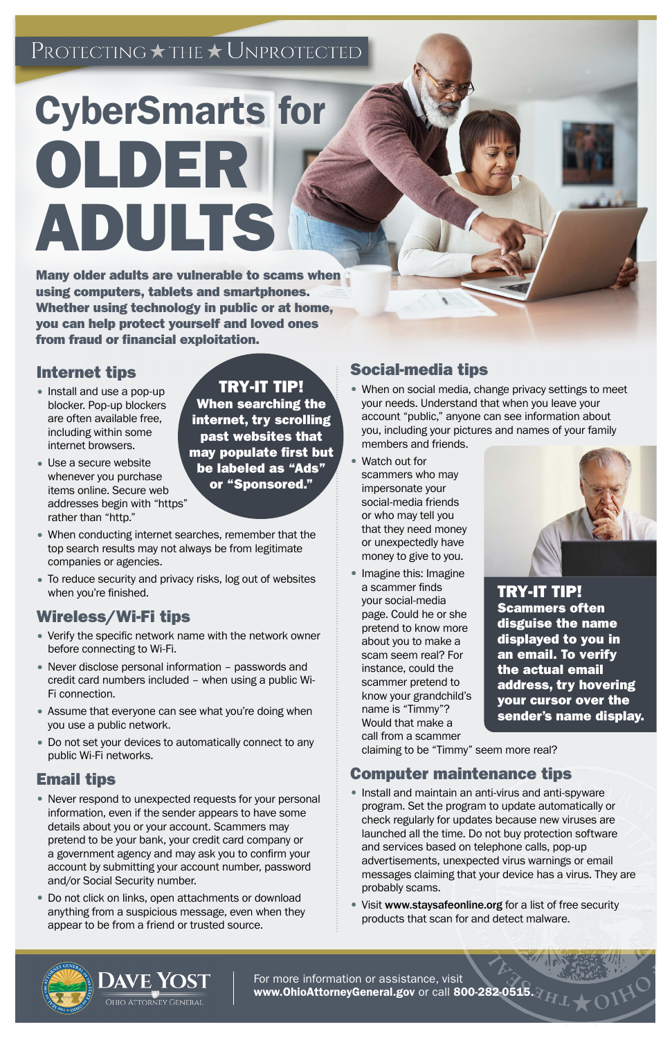## ${\rm PROTECTING}\star$  THE  $\star$  UNPROTECTED

# CyberSmarts for OLDER ADULTS

Many older adults are vulnerable to scams when using computers, tablets and smartphones. Whether using technology in public or at home, you can help protect yourself and loved ones from fraud or financial exploitation.

- Install and use a pop-up blocker. Pop-up blockers are often available free, including within some internet browsers.
- Use a secure website whenever you purchase items online. Secure web addresses begin with "https" rather than "http."

#### Internet tips

- When conducting internet searches, remember that the top search results may not always be from legitimate companies or agencies.
- To reduce security and privacy risks, log out of websites when you're finished.

### Wireless/Wi-Fi tips

- Never respond to unexpected requests for your personal information, even if the sender appears to have some details about you or your account. Scammers may pretend to be your bank, your credit card company or a government agency and may ask you to confirm your account by submitting your account number, password and/or Social Security number.
- Do not click on links, open attachments or download anything from a suspicious message, even when they appear to be from a friend or trusted source.
- Verify the specific network name with the network owner before connecting to Wi-Fi.
- Never disclose personal information passwords and credit card numbers included – when using a public Wi-Fi connection.
- Assume that everyone can see what you're doing when you use a public network.
- Do not set your devices to automatically connect to any public Wi-Fi networks.

#### Email tips

For more information or assistance, visit [www.O](http://www.OhioAttorneyGeneral.gov)hioAttorneyGeneral.gov or call 800-282-051

#### Social-media tips

- When on social media, change privacy settings to meet your needs. Understand that when you leave your account "public," anyone can see information about you, including your pictures and names of your family members and friends.
- Watch out for scammers who may impersonate your social-media friends or who may tell you that they need money or unexpectedly have money to give to you.
- Imagine this: Imagine a scammer finds your social-media page. Could he or she pretend to know more about you to make a scam seem real? For instance, could the scammer pretend to know your grandchild's name is "Timmy"? Would that make a call from a scammer



claiming to be "Timmy" seem more real?

#### Computer maintenance tips

- Install and maintain an anti-virus and anti-spyware program. Set the program to update automatically or check regularly for updates because new viruses are launched all the time. Do not buy protection software and services based on telephone calls, pop-up advertisements, unexpected virus warnings or email messages claiming that your device has a virus. They are probably scams.
- Visit www.staysafeonline.org for a list of free security products that scan for and detect malware.

**DAVE YOST** Ohio Attorney General

TRY-IT TIP!

When searching the internet, try scrolling past websites that may populate first but be labeled as "Ads" or "Sponsored."

> TRY-IT TIP! Scammers often disguise the name displayed to you in an email. To verify the actual email address, try hovering your cursor over the sender's name display.